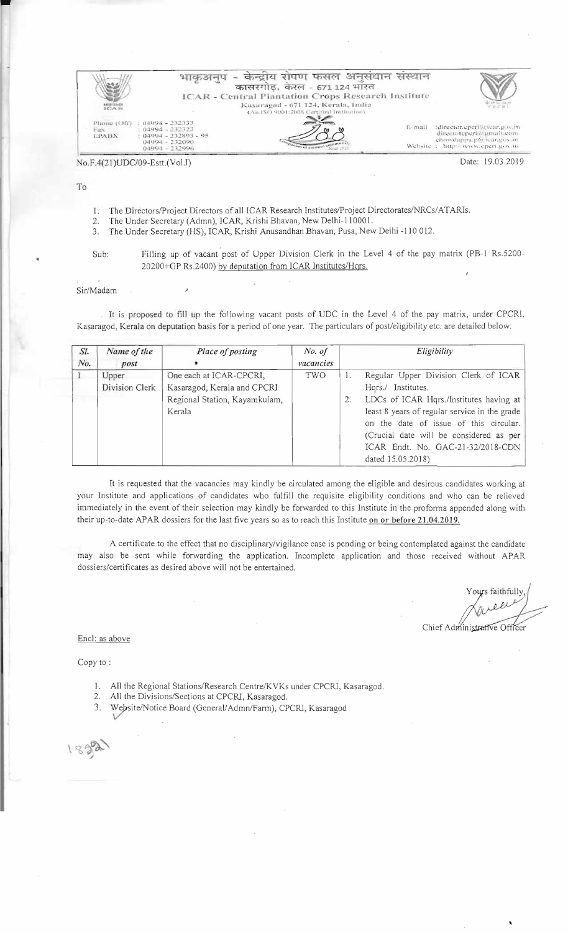|                                |                                                               | केन्द्रीय रोपण फसल अनुसंधान संस्थान<br>कासरगोड, करल - 671.124 भारत<br><b>ICAR - Central Plantation Crops Research Institute</b> |                                                                 |
|--------------------------------|---------------------------------------------------------------|---------------------------------------------------------------------------------------------------------------------------------|-----------------------------------------------------------------|
| 102.7412<br>Phone (Off)<br>Eas | $: 114994 - 232333$<br>$:04994 - 232322$                      | Kasaragod - 671 124, Kerala, India<br>(An ISO 9001:2008 Certified Institution).<br>$E$ - <i>mail</i>                            | CTCRI<br>:director.eperi@icar.gov.in<br>directorepori@amail.com |
| LPABX                          | $: 04994 - 232893 - 95$<br>$04994 - 232090$<br>04994 - 232996 | on of entered community                                                                                                         | chowdappa.p@icar.gov.in<br>Website : http://www.cpcri.gov.in    |

#### $No.F.4(21)UDC/09-Estt. (Vol.1)$

Jate: 19.03.201

### To

- The Directors/Project Directors of all ICAR Research Institutes/Project Directorates/NRCs/ATARIs. 1.
- The Under Secretary (Admn), ICAR, Krishi Bhavan, New Delhi-110001.  $2.$
- 3. The Under Secretary (HS), ICAR, Krishi Anusandhan Bhavan, Pusa, New Delhi -110 012.
- Filling up of vacant post of Upper Division Clerk in the Level 4 of the pay matrix (PB-1 Rs.5200-Sub: 20200+GP Rs.2400) by deputation from ICAR Institutes/Hqrs.

#### Sir/Madam

It is proposed to fill up the following vacant posts of UDC in the Level 4 of the pay matrix, under CPCRI, Kasaragod, Kerala on deputation basis for a period of one year. The particulars of post/eligibility etc. are detailed below:

| SI.     | Name of the             | Place of posting                                                                                  | No. of    |    | Eligibility                                                                                                                                                                                                                                 |
|---------|-------------------------|---------------------------------------------------------------------------------------------------|-----------|----|---------------------------------------------------------------------------------------------------------------------------------------------------------------------------------------------------------------------------------------------|
| No.     | post                    |                                                                                                   | vacancies |    |                                                                                                                                                                                                                                             |
| $\perp$ | Upper<br>Division Clerk | One each at ICAR-CPCRI,<br>Kasaragod, Kerala and CPCRI<br>Regional Station, Kayamkulam,<br>Kerala | TWO       | 2. | Regular Upper Division Clerk of ICAR<br>Hqrs./ Institutes.<br>LDCs of ICAR Hqrs./Institutes having at<br>least 8 years of regular service in the grade<br>on the date of issue of this circular.<br>(Crucial date will be considered as per |
|         |                         |                                                                                                   |           |    | ICAR Endt. No. GAC-21-32/2018-CDN<br>dated 15.05.2018)                                                                                                                                                                                      |

It is requested that the vacancies may kindly be circulated among the eligible and desirous candidates working at your Institute and applications of candidates who fulfill the requisite eligibility conditions and who can be relieved immediately in the event of their selection may kindly be forwarded to this Institute in the proforma appended along with their up-to-date APAR dossiers for the last five years so as to reach this Institute on or before 21.04.2019.

A certificate to the effect that no disciplinary/vigilance case is pending or being contemplated against the candidate may also be sent while forwarding the application. Incomplete application and those received without APAR dossiers/certificates as desired above will not be entertained.

s faithfull

Chief Administrative Officer

Encl: as above

Copy to:

- 1. All the Regional Stations/Research Centre/KVKs under CPCRI, Kasaragod.
- 2. All the Divisions/Sections at CPCRI, Kasaragod.
- 3. Website/Notice Board (General/Admn/Farm), CPCRI, Kasaragod